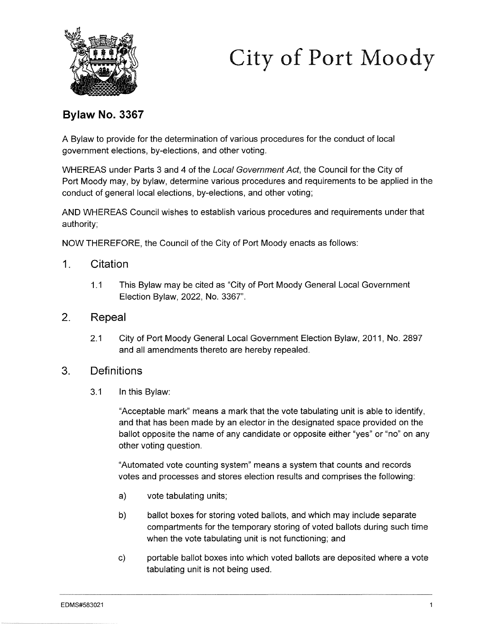



### **Bylaw No. 3367**

A Bylaw to provide for the determination of various procedures for the conduct of local government elections, by-elections, and other voting.

WHEREAS under Parts 3 and 4 of the Local Government Act, the Council for the City of Port Moody may, by bylaw, determine various procedures and requirements to be applied in the conduct of general local elections, by-elections, and other voting;

AND WHEREAS Council wishes to establish various procedures and requirements under that authority;

NOW THEREFORE, the Council of the City of Port Moody enacts as follows:

- 1. Citation
	- 1.1 This Bylaw may be cited as "City of Port Moody General Local Government Election Bylaw, 2022, No. 3367".
- 2. Repeal
	- 2.1 City of Port Moody General Local Government Election Bylaw, 2011, No. 2897 and all amendments thereto are hereby repealed.
- 3. Definitions
	- 3.1 In this Bylaw:

"Acceptable mark" means a mark that the vote tabulating unit is able to identify, and that has been made by an elector in the designated space provided on the ballot opposite the name of any candidate or opposite either "yes" or "no" on any other voting question.

"Automated vote counting system" means a system that counts and records votes and processes and stores election results and comprises the following:

- a) vote tabulating units;
- b) ballot boxes for storing voted ballots, and which may include separate compartments for the temporary storing of voted ballots during such time when the vote tabulating unit is not functioning; and
- c) portable ballot boxes into which voted ballots are deposited where a vote tabulating unit is not being used.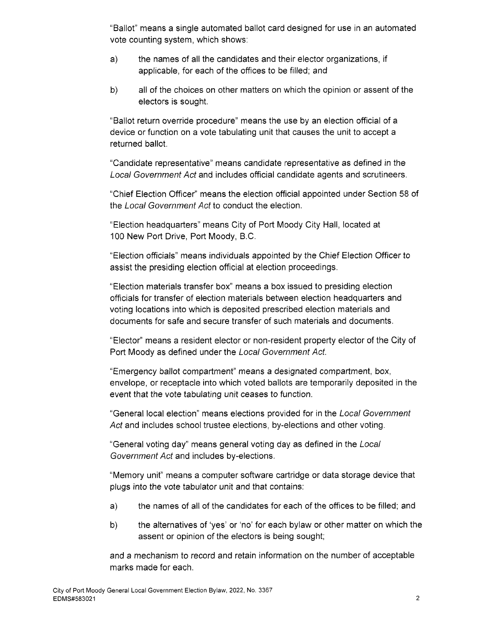"Ballot" means a single automated ballot card designed for use in an automated vote counting system, which shows:

- a) the names of all the candidates and their elector organizations, if applicable, for each of the offices to be filled; and
- b) all of the choices on other matters on which the opinion or assent of the electors is sought.

"Ballot return override procedure" means the use by an election official of a device or function on a vote tabulating unit that causes the unit to accept a returned ballot.

"Candidate representative" means candidate representative as defined in the Local Government Act and includes official candidate agents and scrutineers.

"Chief Election Officer" means the election official appointed under Section 58 of the Local Government Act to conduct the election.

"Election headquarters" means City of Port Moody City Hall, located at 100 New Port Drive, Port Moody, B.C.

"Election officials" means individuals appointed by the Chief Election Officer to assist the presiding election official at election proceedings.

"Election materials transfer box" means a box issued to presiding election officials for transfer of election materials between election headquarters and voting locations into which is deposited prescribed election materials and documents for safe and secure transfer of such materials and documents.

"Elector'' means a resident elector or non-resident property elector of the City of Port Moody as defined under the Local Government Act.

"Emergency ballot compartment" means a designated compartment, box, envelope, or receptacle into which voted ballots are temporarily deposited in the event that the vote tabulating unit ceases to function.

"General local election" means elections provided for in the Local Government Act and includes school trustee elections, by-elections and other voting.

"General voting day" means general voting day as defined in the Local Government Act and includes by-elections.

"Memory unit" means a computer software cartridge or data storage device that plugs into the vote tabulator unit and that contains:

- a) the names of all of the candidates for each of the offices to be filled; and
- b) the alternatives of 'yes' or 'no' for each bylaw or other matter on which the assent or opinion of the electors is being sought;

and a mechanism to record and retain information on the number of acceptable marks made for each.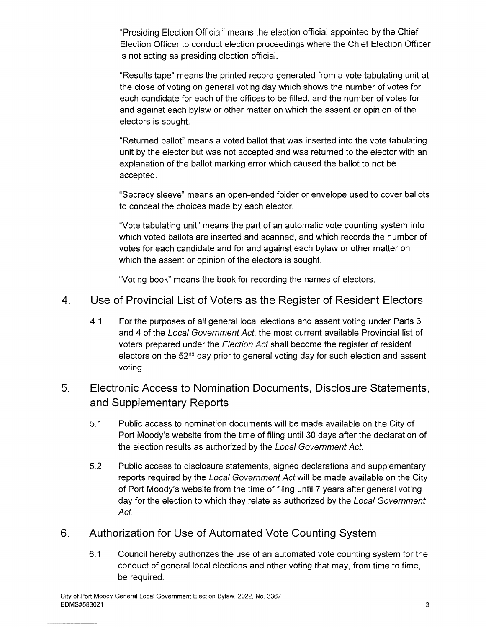"Presiding Election Official" means the election official appointed by the Chief Election Officer to conduct election proceedings where the Chief Election Officer is not acting as presiding election official.

"Results tape" means the printed record generated from a vote tabulating unit at the close of voting on general voting day which shows the number of votes for each candidate for each of the offices to be filled, and the number of votes for and against each bylaw or other matter on which the assent or opinion of the electors is sought.

"Returned ballot" means a voted ballot that was inserted into the vote tabulating unit by the elector but was not accepted and was returned to the elector with an explanation of the ballot marking error which caused the ballot to not be accepted.

"Secrecy sleeve" means an open-ended folder or envelope used to cover ballots to conceal the choices made by each elector.

"Vote tabulating unit" means the part of an automatic vote counting system into which voted ballots are inserted and scanned, and which records the number of votes for each candidate and for and against each bylaw or other matter on which the assent or opinion of the electors is sought.

"Voting book" means the book for recording the names of electors.

- 4. Use of Provincial List of Voters as the Register of Resident Electors
	- 4.1 For the purposes of all general local elections and assent voting under Parts 3 and 4 of the Local Government Act, the most current available Provincial list of voters prepared under the Election Act shall become the register of resident electors on the  $52<sup>nd</sup>$  day prior to general voting day for such election and assent voting.

## 5. Electronic Access to Nomination Documents, Disclosure Statements, and Supplementary Reports

- 5.1 Public access to nomination documents will be made available on the City of Port Moody's website from the time of filing until 30 days after the declaration of the election results as authorized by the Local Government Act.
- 5.2 Public access to disclosure statements, signed declarations and supplementary reports required by the Local Government Act will be made available on the City of Port Moody's website from the time of filing until 7 years after general voting day for the election to which they relate as authorized by the Local Government Act.

## 6. Authorization for Use of Automated Vote Counting System

6.1 Council hereby authorizes the use of an automated vote counting system for the conduct of general local elections and other voting that may, from time to time, be required.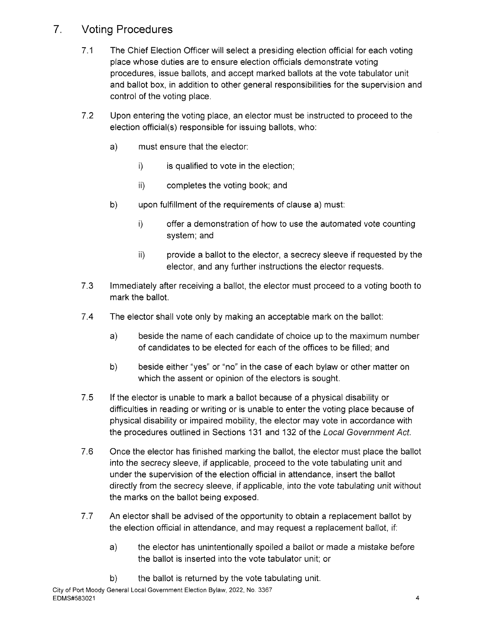## 7. Voting **Procedures**

- 7 .1 The Chief Election Officer will select a presiding election official for each voting place whose duties are to ensure election officials demonstrate voting procedures, issue ballots, and accept marked ballots at the vote tabulator unit and ballot box, in addition to other general responsibilities for the supervision and control of the voting place.
- 7.2 Upon entering the voting place, an elector must be instructed to proceed to the election official(s) responsible for issuing ballots, who:
	- a) must ensure that the elector:
		- i) is qualified to vote in the election;
		- ii) completes the voting book; and
	- b) upon fulfillment of the requirements of clause a) must:
		- i) offer a demonstration of how to use the automated vote counting system; and
		- ii) provide a ballot to the elector, a secrecy sleeve if requested by the elector, and any further instructions the elector requests.
- 7.3 Immediately after receiving a ballot, the elector must proceed to a voting booth to mark the ballot.
- 7.4 The elector shall vote only by making an acceptable mark on the ballot:
	- a) beside the name of each candidate of choice up to the maximum number of candidates to be elected for each of the offices to be filled; and
	- b) beside either "yes" or "no" in the case of each bylaw or other matter on which the assent or opinion of the electors is sought.
- 7.5 If the elector is unable to mark a ballot because of a physical disability or difficulties in reading or writing or is unable to enter the voting place because of physical disability or impaired mobility, the elector may vote in accordance with the procedures outlined in Sections 131 and 132 of the Local Government Act.
- 7.6 Once the elector has finished marking the ballot, the elector must place the ballot into the secrecy sleeve, if applicable, proceed to the vote tabulating unit and under the supervision of the election official in attendance, insert the ballot directly from the secrecy sleeve, if applicable, into the vote tabulating unit without the marks on the ballot being exposed.
- 7.7 An elector shall be advised of the opportunity to obtain a replacement ballot by the election official in attendance, and may request a replacement ballot, if:
	- a) the elector has unintentionally spoiled a ballot or made a mistake before the ballot is inserted into the vote tabulator unit; or
	- b) the ballot is returned by the vote tabulating unit.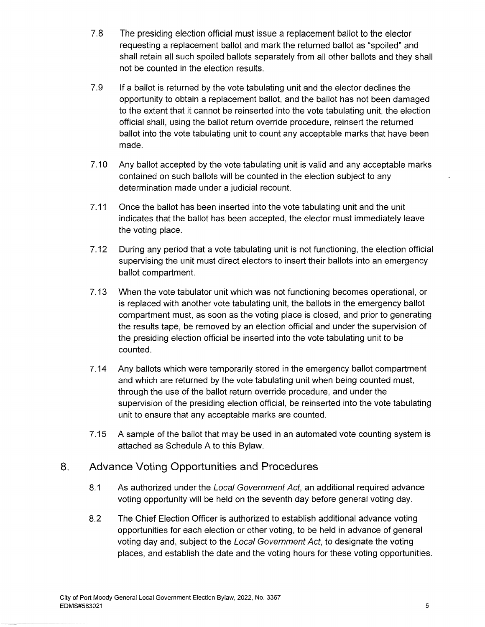- 7.8 The presiding election official must issue a replacement ballot to the elector requesting a replacement ballot and mark the returned ballot as "spoiled" and shall retain all such spoiled ballots separately from all other ballots and they shall not be counted in the election results.
- 7.9 If a ballot is returned by the vote tabulating unit and the elector declines the opportunity to obtain a replacement ballot, and the ballot has not been damaged to the extent that it cannot be reinserted into the vote tabulating unit, the election official shall, using the ballot return override procedure, reinsert the returned ballot into the vote tabulating unit to count any acceptable marks that have been made.
- 7.10 Any ballot accepted by the vote tabulating unit is valid and any acceptable marks contained on such ballots will be counted in the election subject to any determination made under a judicial recount.
- 7.11 Once the ballot has been inserted into the vote tabulating unit and the unit indicates that the ballot has been accepted, the elector must immediately leave the voting place.
- 7.12 During any period that a vote tabulating unit is not functioning, the election official supervising the unit must direct electors to insert their ballots into an emergency ballot compartment.
- 7 .13 When the vote tabulator unit which was not functioning becomes operational, or is replaced with another vote tabulating unit, the ballots in the emergency ballot compartment must, as soon as the voting place is closed, and prior to generating the results tape, be removed by an election official and under the supervision of the presiding election official be inserted into the vote tabulating unit to be counted.
- 7.14 Any ballots which were temporarily stored in the emergency ballot compartment and which are returned by the vote tabulating unit when being counted must, through the use of the ballot return override procedure, and under the supervision of the presiding election official, be reinserted into the vote tabulating unit to ensure that any acceptable marks are counted.
- 7.15 A sample of the ballot that may be used in an automated vote counting system is attached as Schedule A to this Bylaw.

#### 8. Advance Voting Opportunities and Procedures

- 8.1 As authorized under the Local Government Act, an additional required advance voting opportunity will be held on the seventh day before general voting day.
- 8.2 The Chief Election Officer is authorized to establish additional advance voting opportunities for each election or other voting, to be held in advance of general voting day and, subject to the Local Government Act, to designate the voting places, and establish the date and the voting hours for these voting opportunities.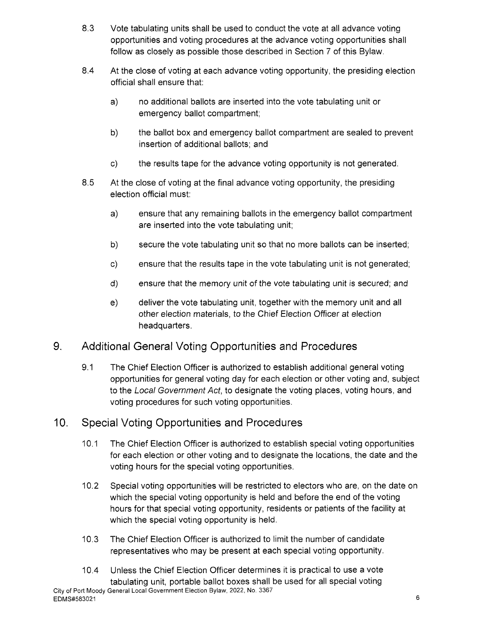- 8.3 Vote tabulating units shall be used to conduct the vote at all advance voting opportunities and voting procedures at the advance voting opportunities shall follow as closely as possible those described in Section 7 of this Bylaw.
- 8.4 At the close of voting at each advance voting opportunity, the presiding election official shall ensure that:
	- a) no additional ballots are inserted into the vote tabulating unit or emergency ballot compartment;
	- b) the ballot box and emergency ballot compartment are sealed to prevent insertion of additional ballots; and
	- c) the results tape for the advance voting opportunity is not generated.
- 8.5 At the close of voting at the final advance voting opportunity, the presiding election official must:
	- a) ensure that any remaining ballots in the emergency ballot compartment are inserted into the vote tabulating unit;
	- b) secure the vote tabulating unit so that no more ballots can be inserted;
	- c) ensure that the results tape in the vote tabulating unit is not generated;
	- d) ensure that the memory unit of the vote tabulating unit is secured; and
	- e) deliver the vote tabulating unit, together with the memory unit and all other election materials, to the Chief Election Officer at election headquarters.

# 9. Additional General Voting Opportunities and Procedures

9.1 The Chief Election Officer is authorized to establish additional general voting opportunities for general voting day for each election or other voting and, subject to the Local Government Act, to designate the voting places, voting hours, and voting procedures for such voting opportunities.

# 10. Special Voting Opportunities and Procedures

- 10.1 The Chief Election Officer is authorized to establish special voting opportunities for each election or other voting and to designate the locations, the date and the voting hours for the special voting opportunities.
- 10.2 Special voting opportunities will be restricted to electors who are, on the date on which the special voting opportunity is held and before the end of the voting hours for that special voting opportunity, residents or patients of the facility at which the special voting opportunity is held.
- 10.3 The Chief Election Officer is authorized to limit the number of candidate representatives who may be present at each special voting opportunity.
- 10.4 Unless the Chief Election Officer determines it is practical to use a vote tabulating unit, portable ballot boxes shall be used for all special voting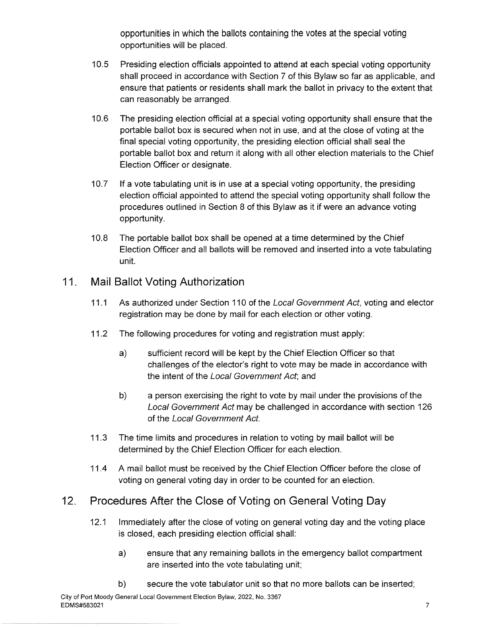opportunities in which the ballots containing the votes at the special voting opportunities will be placed.

- 10.5 Presiding election officials appointed to attend at each special voting opportunity shall proceed in accordance with Section 7 of this Bylaw so far as applicable, and ensure that patients or residents shall mark the ballot in privacy to the extent that can reasonably be arranged.
- 10.6 The presiding election official at a special voting opportunity shall ensure that the portable ballot box is secured when not in use, and at the close of voting at the final special voting opportunity, the presiding election official shall seal the portable ballot box and return it along with all other election materials to the Chief Election Officer or designate.
- 10.7 If a vote tabulating unit is in use at a special voting opportunity, the presiding election official appointed to attend the special voting opportunity shall follow the procedures outlined in Section 8 of this Bylaw as it if were an advance voting opportunity.
- 10.8 The portable ballot box shall be opened at a time determined by the Chief Election Officer and all ballots will be removed and inserted into a vote tabulating unit.

### **11. Mail Ballot Voting Authorization**

- 11.1 As authorized under Section 110 of the Local Government Act, voting and elector registration may be done by mail for each election or other voting.
- 11.2 The following procedures for voting and registration must apply:
	- a) sufficient record will be kept by the Chief Election Officer so that challenges of the elector's right to vote may be made in accordance with the intent of the Local Government Act; and
	- b) a person exercising the right to vote by mail under the provisions of the Local Government Act may be challenged in accordance with section 126 of the Local Government Act.
- 11.3 The time limits and procedures in relation to voting by mail ballot will be determined by the Chief Election Officer for each election.
- 11.4 A mail ballot must be received by the Chief Election Officer before the close of voting on general voting day in order to be counted for an election.

### 12. **Procedures After the Close of Voting on General Voting Day**

- 12.1 Immediately after the close of voting on general voting day and the voting place is closed, each presiding election official shall:
	- a) ensure that any remaining ballots in the emergency ballot compartment are inserted into the vote tabulating unit;
	- b) secure the vote tabulator unit so that no more ballots can be inserted;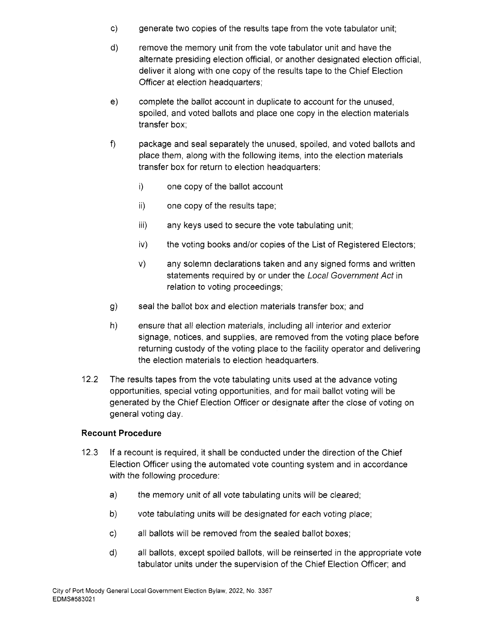- c) generate two copies of the results tape from the vote tabulator unit;
- d) remove the memory unit from the vote tabulator unit and have the alternate presiding election official, or another designated election official, deliver it along with one copy of the results tape to the Chief Election Officer at election headquarters;
- e) complete the ballot account in duplicate to account for the unused, spoiled, and voted ballots and place one copy in the election materials transfer box;
- f) package and seal separately the unused, spoiled, and voted ballots and place them, along with the following items, into the election materials transfer box for return to election headquarters:
	- i) one copy of the ballot account
	- ii) one copy of the results tape;
	- iii) any keys used to secure the vote tabulating unit;
	- iv) the voting books and/or copies of the List of Registered Electors;
	- v) any solemn declarations taken and any signed forms and written statements required by or under the Local Government Act in relation to voting proceedings;
- g) seal the ballot box and election materials transfer box; and
- h) ensure that all election materials, including all interior and exterior signage, notices, and supplies, are removed from the voting place before returning custody of the voting place to the facility operator and delivering the election materials to election headquarters.
- 12.2 The results tapes from the vote tabulating units used at the advance voting opportunities, special voting opportunities, and for mail ballot voting will be generated by the Chief Election Officer or designate after the close of voting on general voting day.

#### **Recount Procedure**

- 12.3 If a recount is required, it shall be conducted under the direction of the Chief Election Officer using the automated vote counting system and in accordance with the following procedure:
	- a) the memory unit of all vote tabulating units will be cleared;
	- b) vote tabulating units will be designated for each voting place;
	- c) all ballots will be removed from the sealed ballot boxes;
	- d) all ballots, except spoiled ballots, will be reinserted in the appropriate vote tabulator units under the supervision of the Chief Election Officer; and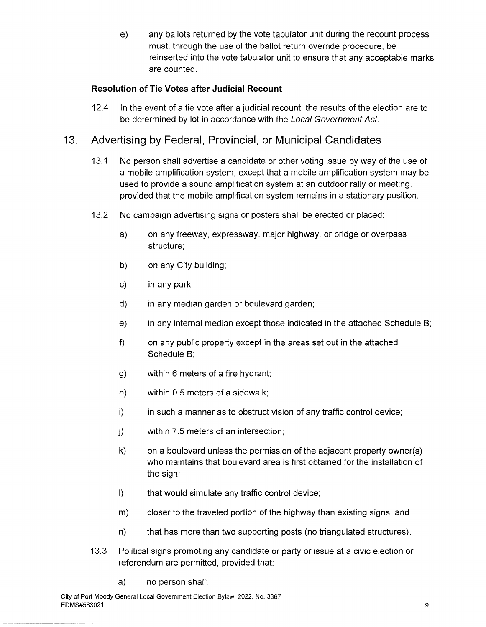e) any ballots returned by the vote tabulator unit during the recount process must, through the use of the ballot return override procedure, be reinserted into the vote tabulator unit to ensure that any acceptable marks are counted.

#### **Resolution of Tie Votes after Judicial Recount**

12.4 In the event of a tie vote after a judicial recount, the results of the election are to be determined by lot in accordance with the Local Government Act.

### 13. Advertising by Federal, Provincial, or Municipal Candidates

- 13.1 No person shall advertise a candidate or other voting issue by way of the use of a mobile amplification system, except that a mobile amplification system may be used to provide a sound amplification system at an outdoor rally or meeting, provided that the mobile amplification system remains in a stationary position.
- 13.2 No campaign advertising signs or posters shall be erected or placed:
	- a) on any freeway, expressway, major highway, or bridge or overpass structure;
	- b) on any City building;
	- c) in any park;
	- d) in any median garden or boulevard garden;
	- e) in any internal median except those indicated in the attached Schedule B;
	- f) on any public property except in the areas set out in the attached Schedule B;
	- g) within 6 meters of a fire hydrant;
	- h) within 0.5 meters of a sidewalk;
	- i) in such a manner as to obstruct vision of any traffic control device;
	- j) within 7.5 meters of an intersection;
	- k) on a boulevard unless the permission of the adjacent property owner(s) who maintains that boulevard area is first obtained for the installation of the sign;
	- I) that would simulate any traffic control device;
	- m) closer to the traveled portion of the highway than existing signs; and
	- n) that has more than two supporting posts (no triangulated structures).
- 13.3 Political signs promoting any candidate or party or issue at a civic election or referendum are permitted, provided that:
	- a) no person shall;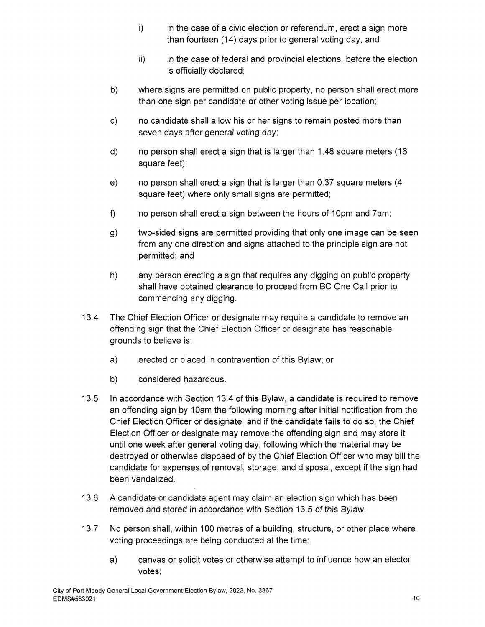- i) in the case of a civic election or referendum, erect a sign more than fourteen (14) days prior to general voting day, and
- ii) in the case of federal and provincial elections, before the election is officially declared;
- b) where signs are permitted on public property, no person shall erect more than one sign per candidate or other voting issue per location;
- c) no candidate shall allow his or her signs to remain posted more than seven days after general voting day;
- d) no person shall erect a sign that is larger than 1.48 square meters ( 16 square feet);
- e) no person shall erect a sign that is larger than 0.37 square meters (4 square feet) where only small signs are permitted;
- f) no person shall erect a sign between the hours of 10pm and 7am;
- g) two-sided signs are permitted providing that only one image can be seen from any one direction and signs attached to the principle sign are not permitted; and
- h) any person erecting a sign that requires any digging on public property shall have obtained clearance to proceed from BC One Call prior to commencing any digging.
- 13.4 The Chief Election Officer or designate may require a candidate to remove an offending sign that the Chief Election Officer or designate has reasonable grounds to believe is:
	- a) erected or placed in contravention of this Bylaw; or
	- b) considered hazardous.
- 13.5 In accordance with Section 13.4 of this Bylaw, a candidate is required to remove an offending sign by 10am the following morning after initial notification from the Chief Election Officer or designate, and if the candidate fails to do so, the Chief Election Officer or designate may remove the offending sign and may store it until one week after general voting day, following which the material may be destroyed or otherwise disposed of by the Chief Election Officer who may bill the candidate for expenses of removal, storage, and disposal, except if the sign had been vandalized.
- 13.6 A candidate or candidate agent may claim an election sign which has been removed and stored in accordance with Section 13.5 of this Bylaw.
- 13.7 No person shall, within 100 metres of a building, structure, or other place where voting proceedings are being conducted at the time:
	- a) canvas or solicit votes or otherwise attempt to influence how an elector votes;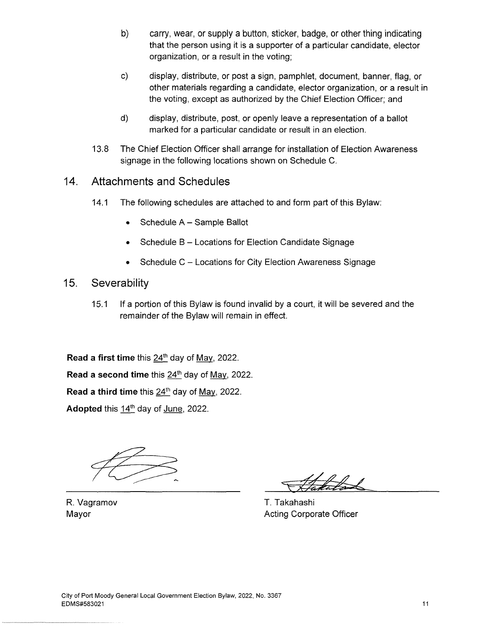- b) carry, wear, or supply a button, sticker, badge, or other thing indicating that the person using it is a supporter of a particular candidate, elector organization, or a result in the voting;
- c) display, distribute, or post a sign, pamphlet, document, banner, flag, or other materials regarding a candidate, elector organization, or a result in the voting, except as authorized by the Chief Election Officer; and
- d) display, distribute, post, or openly leave a representation of a ballot marked for a particular candidate or result in an election.
- 13.8 The Chief Election Officer shall arrange for installation of Election Awareness signage in the following locations shown on Schedule C.
- **14. Attachments and Schedules** 
	- 14.1 The following schedules are attached to and form part of this Bylaw:
		- Schedule A Sample Ballot
		- Schedule B Locations for Election Candidate Signage
		- Schedule C Locations for City Election Awareness Signage
- **15. Severability** 
	- 15.1 If a portion of this Bylaw is found invalid by a court, it will be severed and the remainder of the Bylaw will remain in effect.

**Read a first time** this 24<sup>th</sup> day of May, 2022.

**Read a second time** this 24<sup>th</sup> day of May, 2022.

**Read a third time** this  $24^{\text{th}}$  day of May, 2022.

Adopted this 14<sup>th</sup> day of June, 2022.

T. Takahashi Acting Corporate Officer

R. Vagramov Mayor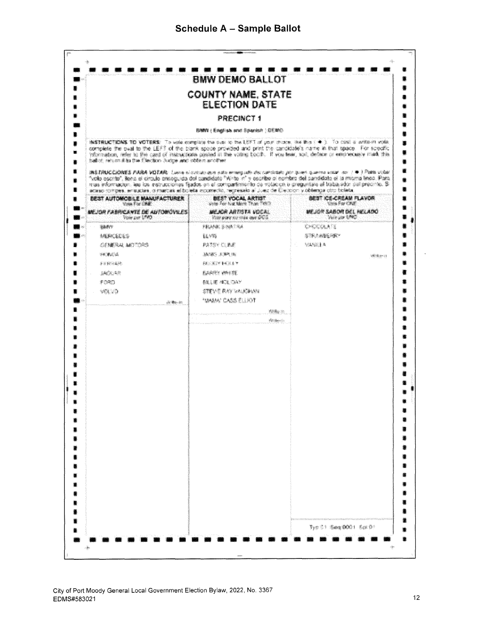|                                                                                                | <b>BMW DEMO BALLOT</b>                                                                                                                                                                                                                                                                                                                                                |                                                                                                                                                                                                                                                                                                                                                                                           |
|------------------------------------------------------------------------------------------------|-----------------------------------------------------------------------------------------------------------------------------------------------------------------------------------------------------------------------------------------------------------------------------------------------------------------------------------------------------------------------|-------------------------------------------------------------------------------------------------------------------------------------------------------------------------------------------------------------------------------------------------------------------------------------------------------------------------------------------------------------------------------------------|
|                                                                                                | <b>COUNTY NAME, STATE</b><br><b>ELECTION DATE</b>                                                                                                                                                                                                                                                                                                                     |                                                                                                                                                                                                                                                                                                                                                                                           |
|                                                                                                | <b>PRECINCT 1</b>                                                                                                                                                                                                                                                                                                                                                     |                                                                                                                                                                                                                                                                                                                                                                                           |
|                                                                                                | <b>RANN : Ematrals aret Scientist : CEMC-</b>                                                                                                                                                                                                                                                                                                                         |                                                                                                                                                                                                                                                                                                                                                                                           |
| hall of incurry this that the first hadra and oblain accelerat                                 |                                                                                                                                                                                                                                                                                                                                                                       | NETRUCTENE TO VOTERE TO was complete the case of the LEFT of your choice. Not the strain in a value of which was<br>comparte the oval to the LEFT of the blank space provided and print the cardidate's name in that space. For specific<br>Vibrication, related the cant of interactions posied in the voting booth. If you lear, soil, deface or entrienable mark this                  |
| sceno dutore, rugoles, o meter el boria soletando, necessiva de la colona y diverse uno boris. |                                                                                                                                                                                                                                                                                                                                                                       | METALLINNIE AARA VOTAR: Langunischat and habe hymnesath decomplisht por Sinh Complete that an 1 + 1 <sup>2</sup> 100 tijde<br>"volo escrito", liene si circulo onteguida del candidato "Witto in" y occribo di nombro del candidate si la misma lineo. Para<br>mas informacion, las los instrucciones faudos en el compartimiento de votacios o preguntale el trabacebo, del precinte. Si |
| <b>BEST AUTOMOBLE MANUFACTURER</b>                                                             | <b>DEST VOCAL ARTIST</b>                                                                                                                                                                                                                                                                                                                                              | BEST CE-CREAM FLAVOR                                                                                                                                                                                                                                                                                                                                                                      |
| <b>Sides For CAM</b><br><b>UE TOP FABRICANTE DE AUTOMÓVIERS</b>                                | MEACH ARTISTA VOCAL<br>With power his time over \$95%.                                                                                                                                                                                                                                                                                                                | Thomas Come & Martin<br>MEZON SABON DEL MELADO<br><b>Warrant Child</b>                                                                                                                                                                                                                                                                                                                    |
| Visite can SPRT<br><b>WAR</b>                                                                  | Frank Smaths                                                                                                                                                                                                                                                                                                                                                          | OKZOBATE                                                                                                                                                                                                                                                                                                                                                                                  |
| <b>MACKETTE</b>                                                                                | ii vit                                                                                                                                                                                                                                                                                                                                                                | <b>STRAINBEARY</b>                                                                                                                                                                                                                                                                                                                                                                        |
| <b>CENERAL MOTORS</b>                                                                          | <b>PATOY CLEE</b>                                                                                                                                                                                                                                                                                                                                                     | <b>MASSEE &amp;</b>                                                                                                                                                                                                                                                                                                                                                                       |
| <b>SACRADOR</b>                                                                                | AND STREET                                                                                                                                                                                                                                                                                                                                                            | <b>Withon</b>                                                                                                                                                                                                                                                                                                                                                                             |
| 家庭餐室業務                                                                                         | 44 - 2019 44 3 4 5                                                                                                                                                                                                                                                                                                                                                    |                                                                                                                                                                                                                                                                                                                                                                                           |
| <b>SACRONE</b>                                                                                 | <b>KAART WALTE</b>                                                                                                                                                                                                                                                                                                                                                    |                                                                                                                                                                                                                                                                                                                                                                                           |
| FORD.                                                                                          | <b>BELIE MOLDAY</b>                                                                                                                                                                                                                                                                                                                                                   |                                                                                                                                                                                                                                                                                                                                                                                           |
| <b>MAND</b>                                                                                    | STEVE RAY VALKININ                                                                                                                                                                                                                                                                                                                                                    |                                                                                                                                                                                                                                                                                                                                                                                           |
| in the in                                                                                      | "UMM CASS ELRY                                                                                                                                                                                                                                                                                                                                                        |                                                                                                                                                                                                                                                                                                                                                                                           |
|                                                                                                | 125%                                                                                                                                                                                                                                                                                                                                                                  |                                                                                                                                                                                                                                                                                                                                                                                           |
|                                                                                                | $\label{eq:reduced} \frac{1}{N} \sum_{i=1}^{N} \frac{1}{N} \sum_{i=1}^{N} \sum_{j=1}^{N} \frac{1}{N} \sum_{i=1}^{N} \frac{1}{N} \sum_{i=1}^{N} \frac{1}{N} \sum_{i=1}^{N} \frac{1}{N} \sum_{i=1}^{N} \frac{1}{N} \sum_{i=1}^{N} \frac{1}{N} \sum_{i=1}^{N} \frac{1}{N} \sum_{i=1}^{N} \frac{1}{N} \sum_{i=1}^{N} \frac{1}{N} \sum_{i=1}^{N} \frac{1}{N} \sum_{i=1}^{$ |                                                                                                                                                                                                                                                                                                                                                                                           |
|                                                                                                |                                                                                                                                                                                                                                                                                                                                                                       |                                                                                                                                                                                                                                                                                                                                                                                           |
|                                                                                                |                                                                                                                                                                                                                                                                                                                                                                       |                                                                                                                                                                                                                                                                                                                                                                                           |
|                                                                                                |                                                                                                                                                                                                                                                                                                                                                                       |                                                                                                                                                                                                                                                                                                                                                                                           |
|                                                                                                |                                                                                                                                                                                                                                                                                                                                                                       |                                                                                                                                                                                                                                                                                                                                                                                           |
|                                                                                                |                                                                                                                                                                                                                                                                                                                                                                       |                                                                                                                                                                                                                                                                                                                                                                                           |
|                                                                                                |                                                                                                                                                                                                                                                                                                                                                                       |                                                                                                                                                                                                                                                                                                                                                                                           |
|                                                                                                |                                                                                                                                                                                                                                                                                                                                                                       |                                                                                                                                                                                                                                                                                                                                                                                           |
|                                                                                                |                                                                                                                                                                                                                                                                                                                                                                       |                                                                                                                                                                                                                                                                                                                                                                                           |
|                                                                                                |                                                                                                                                                                                                                                                                                                                                                                       |                                                                                                                                                                                                                                                                                                                                                                                           |
|                                                                                                |                                                                                                                                                                                                                                                                                                                                                                       |                                                                                                                                                                                                                                                                                                                                                                                           |
|                                                                                                |                                                                                                                                                                                                                                                                                                                                                                       |                                                                                                                                                                                                                                                                                                                                                                                           |
|                                                                                                |                                                                                                                                                                                                                                                                                                                                                                       |                                                                                                                                                                                                                                                                                                                                                                                           |
|                                                                                                |                                                                                                                                                                                                                                                                                                                                                                       |                                                                                                                                                                                                                                                                                                                                                                                           |
|                                                                                                |                                                                                                                                                                                                                                                                                                                                                                       |                                                                                                                                                                                                                                                                                                                                                                                           |
|                                                                                                |                                                                                                                                                                                                                                                                                                                                                                       |                                                                                                                                                                                                                                                                                                                                                                                           |
|                                                                                                |                                                                                                                                                                                                                                                                                                                                                                       |                                                                                                                                                                                                                                                                                                                                                                                           |
|                                                                                                |                                                                                                                                                                                                                                                                                                                                                                       |                                                                                                                                                                                                                                                                                                                                                                                           |
|                                                                                                |                                                                                                                                                                                                                                                                                                                                                                       |                                                                                                                                                                                                                                                                                                                                                                                           |
|                                                                                                |                                                                                                                                                                                                                                                                                                                                                                       |                                                                                                                                                                                                                                                                                                                                                                                           |
|                                                                                                |                                                                                                                                                                                                                                                                                                                                                                       |                                                                                                                                                                                                                                                                                                                                                                                           |
|                                                                                                |                                                                                                                                                                                                                                                                                                                                                                       |                                                                                                                                                                                                                                                                                                                                                                                           |
|                                                                                                |                                                                                                                                                                                                                                                                                                                                                                       |                                                                                                                                                                                                                                                                                                                                                                                           |

 $\ddot{\phantom{0}}$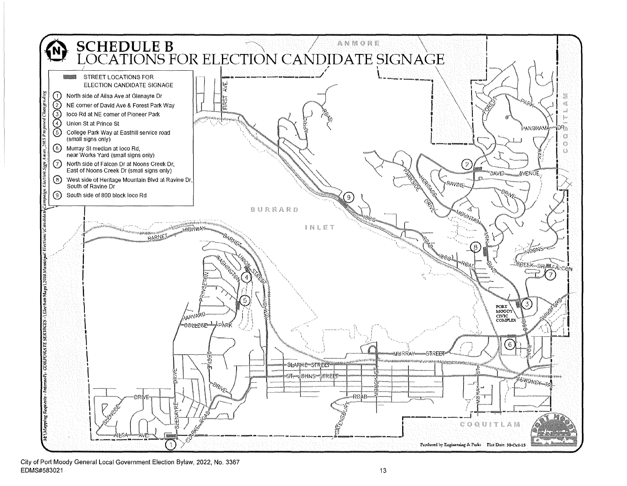

City of Port Moody General Local Government Election Bylaw, 2022, No. 3367  $EDMS#583021$  and the contract of the contract of the contract of the contract of the contract of the contract of the contract of the contract of the contract of the contract of the contract of the contract of the contract